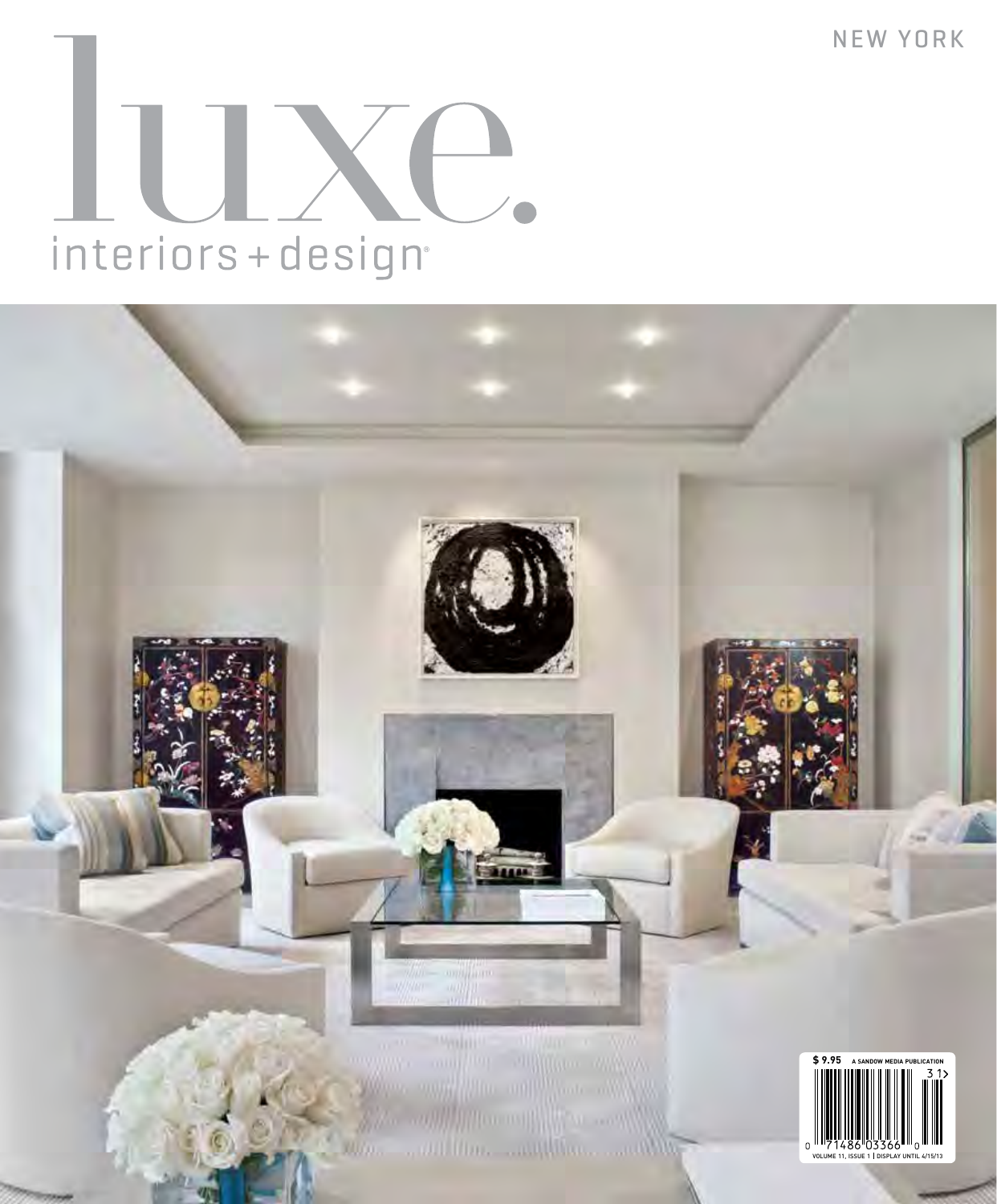NEW YORK

# interiors+design<sup>®</sup>

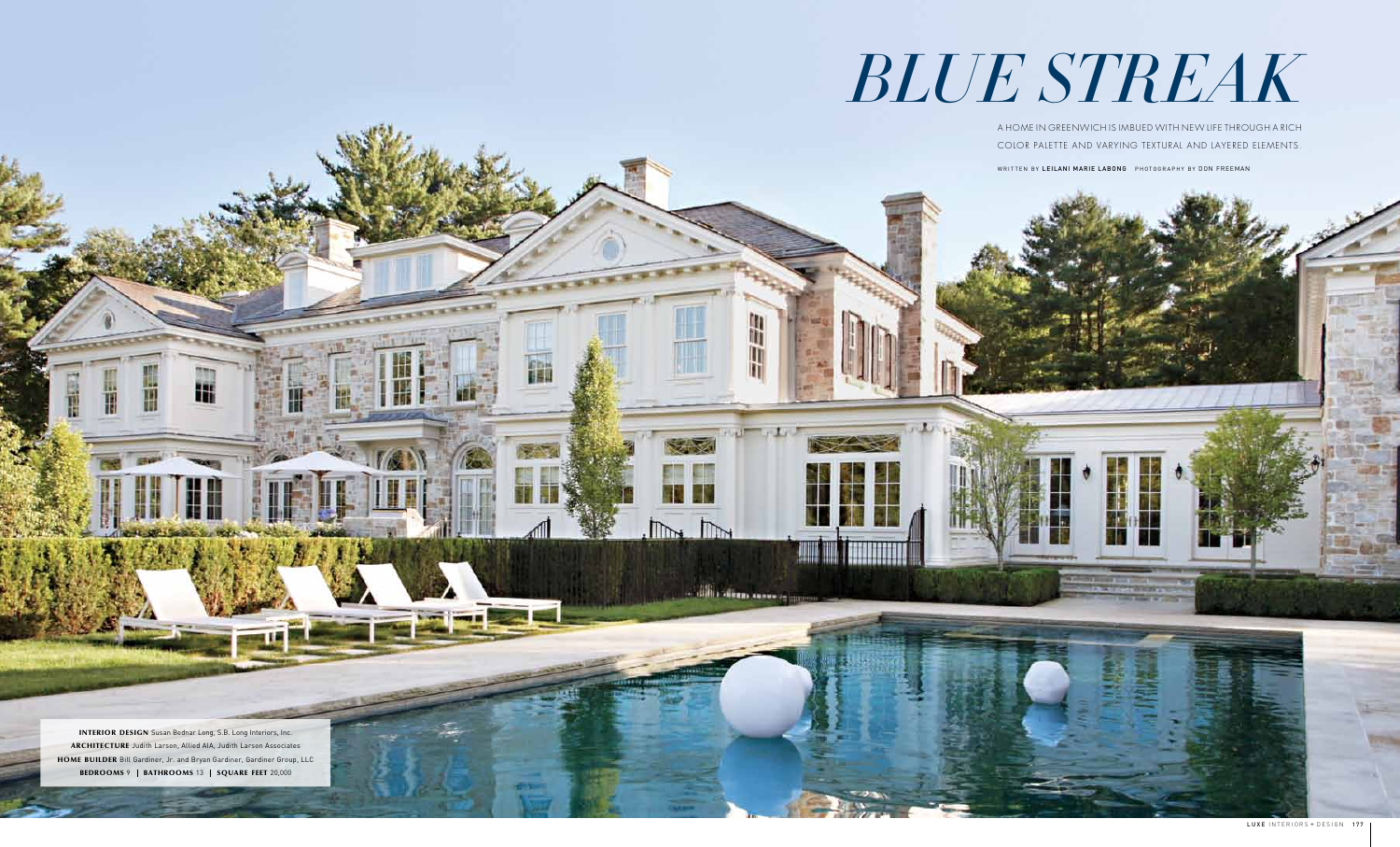A HOME IN GREENWICH IS IMBUED WITH NEW LIFE THROUGH A RICH COLOR PALETTE AND VARYING TEXTURAL AND LAYERED ELEMENTS.

WRITTEN BY LEILANI MARIE LABONG PHOTOGRAPHY BY DON FREEMAN

R

 $\mathbb{R}$ 

**Victor Course** 

 $\mathbb{R}$ 





INTERIOR DESIGN Susan Bednar Long, S.B. Long Interiors, Inc. ARCHITECTURE Judith Larson, Allied AIA, Judith Larson Associates HOME BUILDER Bill Gardiner, Jr. and Bryan Gardiner, Gardiner Group, LLC BEDROOMS 9 | BATHROOMS 13 | SQUARE FEET 20,000

卌

H

惜

## *BLUE STREAK*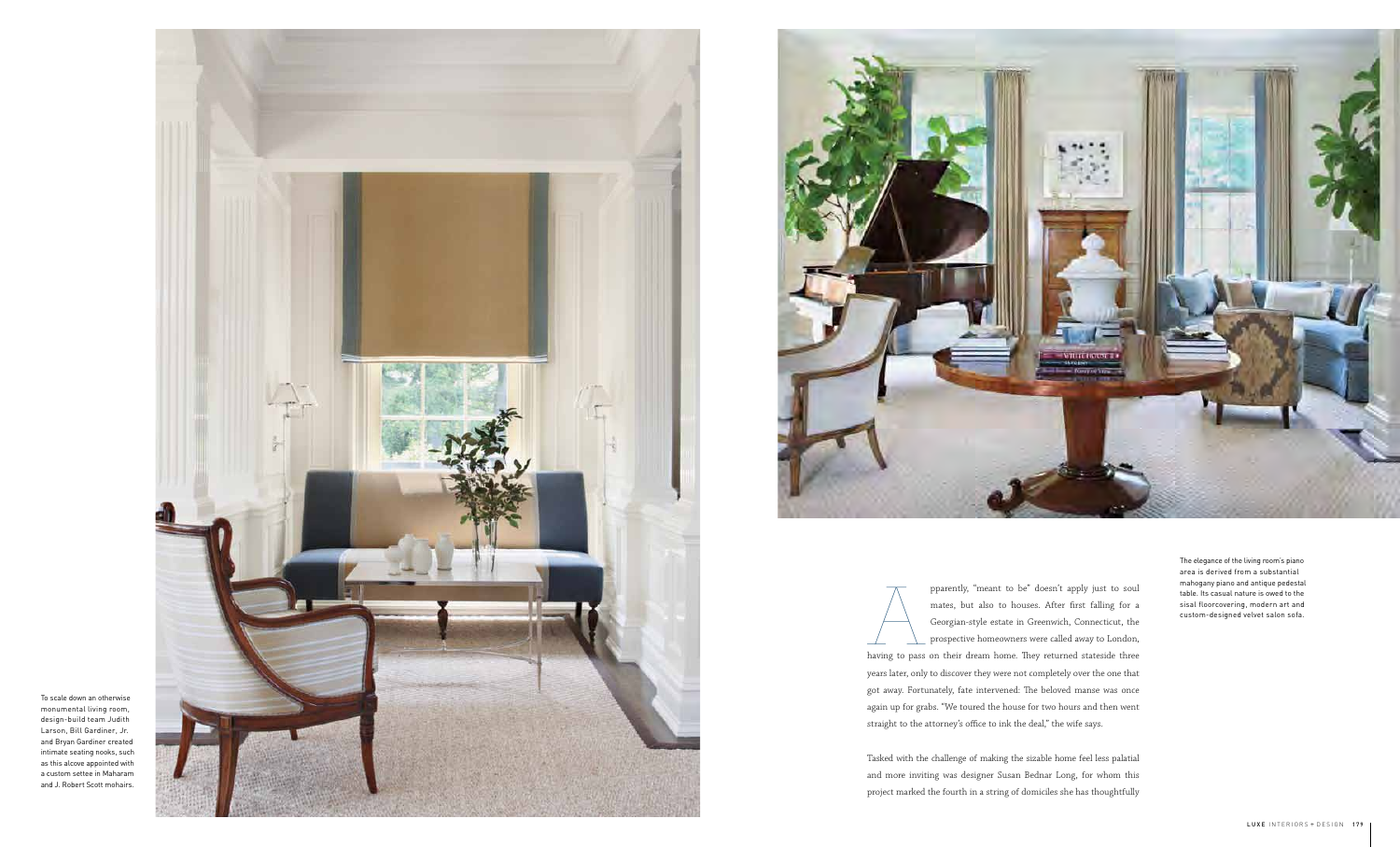pparently, "meant to be" doesn't apply just to soul<br>
mates, but also to houses. After first falling for a<br>
Georgian-style estate in Greenwich, Connecticut, the<br>
prospective homeowners were called away to London,<br>
having to mates, but also to houses. After first falling for a Georgian-style estate in Greenwich, Connecticut, the prospective homeowners were called away to London, years later, only to discover they were not completely over the one that got away. Fortunately, fate intervened: The beloved manse was once again up for grabs. "We toured the house for two hours and then went straight to the attorney's o ffice to ink the deal," the wife says.

Tasked with the challenge of making the sizable home feel less palatial and more inviting was designer Susan Bednar Long, for whom this project marked the fourth in a string of domiciles she has thoughtfully

The elegance of the living room's piano area is derived from a substantial mahogany piano and antique pedestal table. Its casual nature is owed to the sisal floorcovering, modern art and custom-designed velvet salon sofa.



To scale down an otherwise monumental living room, design-build team Judith Larson, Bill Gardiner, Jr. and Bryan Gardiner created intimate seating nooks, such as this alcove appointed with a custom settee in Maharam and J. Robert Scott mohairs.

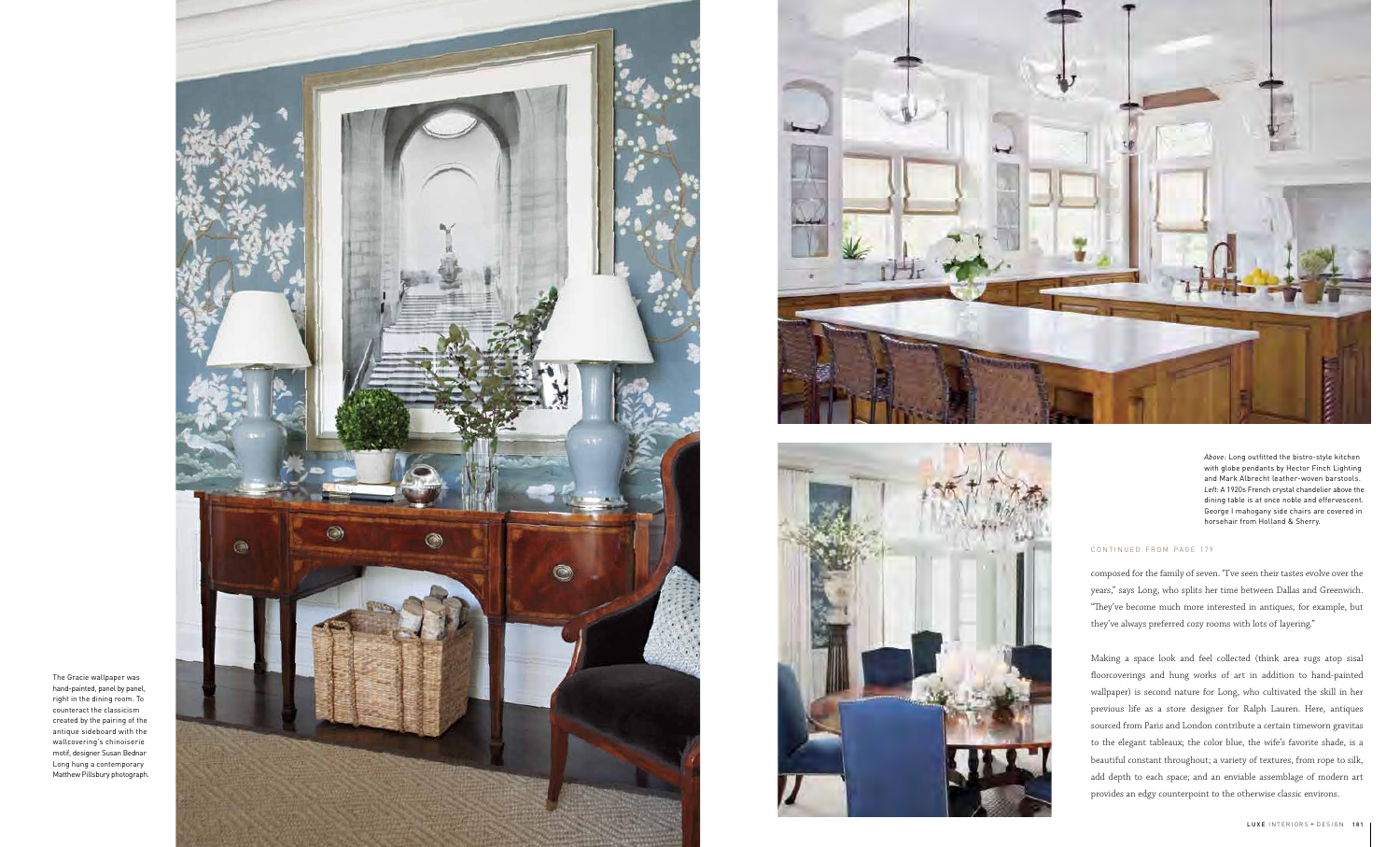*Above:* Long outfitted the bistro-style kitchen with globe pendants by Hector Finch Lighting and Mark Albrecht leather-woven barstools. *Left:* A 1920s French crystal chandelier above the dining table is at once noble and effervescent. George I mahogany side chairs are covered in horsehair from Holland & Sherry.







The Gracie wallpaper was hand-painted, panel by panel, right in the dining room. To counteract the classicism created by the pairing of the antique sideboard with the wallcovering's chinoiserie motif, designer Susan Bednar Long hung a contemporary Matthew Pillsbury photograph.

composed for the family of seven. "I've seen their tastes evolve over the years," says Long, who splits her time between Dallas and Greenwich.<br>"They've become much more interested in antiques, for example, but they've always preferred cozy rooms with lots of layering."

Making a space look and feel collected (think area rugs atop sisal floorcoverings and hung works of art in addition to hand-painted wallpaper) is second nature for Long, who cultivated the skill in her previous life as a store designer for Ralph Lauren. Here, antiques sourced from Paris and London contribute a certain timeworn gravitas to the elegant tableaux; the color blue, the wife's favorite shade, is a beautiful constant throughout; a variety of textures, from rope to silk, add depth to each space; and an enviable assemblage of modern art provides an edgy counterpoint to the otherwise classic environs.

### CONTINUED FROM PAGE 179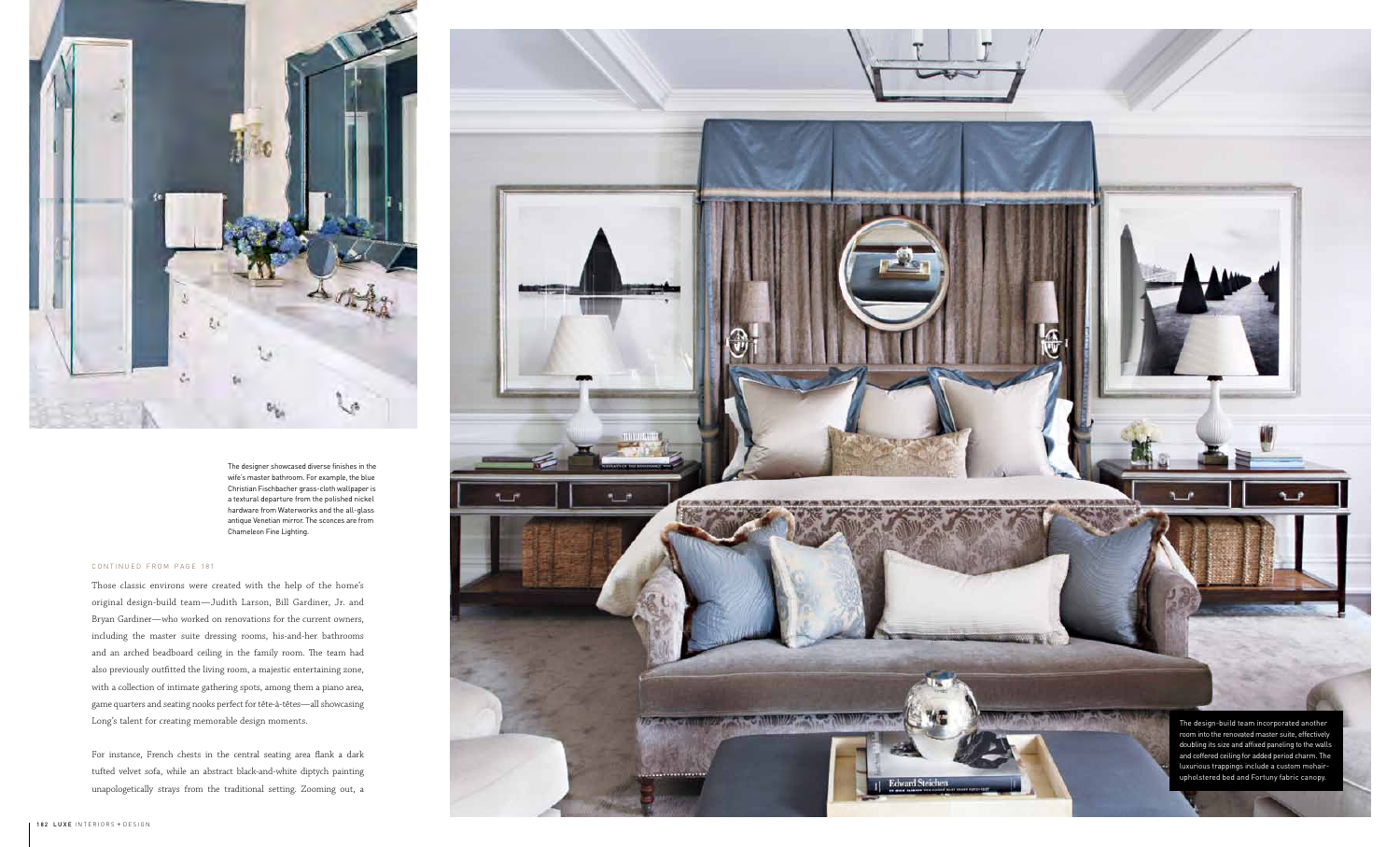

The designer showcased diverse finishes in the wife's master bathroom. For example, the blue Christian Fischbacher grass-cloth wallpaper is a textural departure from the polished nickel hardware from Waterworks and the all-glass antique Venetian mirror. The sconces are from Chameleon Fine Lighting.

> The design-build team incorporated another room into the renovated master suite, effectively doubling its size and affixed paneling to the walls and coffered ceiling for added period charm. The luxurious trappings include a custom mohairupholstered bed and Fortuny fabric canopy.

Those classic environs were created with the help of the home's original design-build team—Judith Larson, Bill Gardiner, Jr. and Bryan Gardiner—who worked on renovations for the current owners, including the master suite dressing rooms, his-and-her bathrooms and an arched beadboard ceiling in the family room. The team had also previously outfitted the living room, a majestic entertaining zone, with a collection of intimate gathering spots, among them a piano area, game quarters and seating nooks perfect for tête-à-têtes—all showcasing Long's talent for creating memorable design moments.

For instance, French chests in the central seating area flank a dark tufted velvet sofa, while an abstract black-and-white diptych painting unapologetically strays from the traditional setting. Zooming out, a



### CONTINUED FROM PAGE 181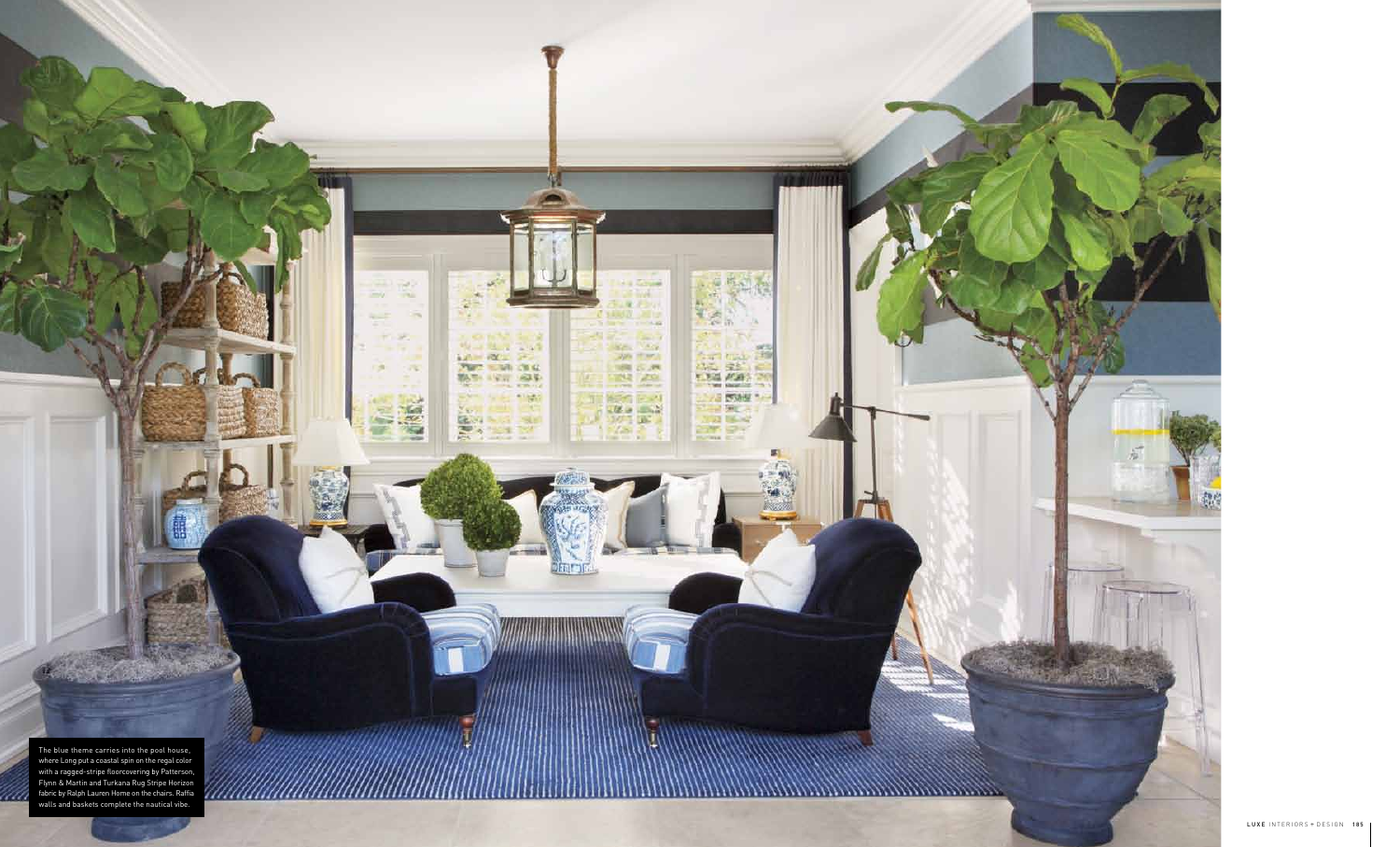The blue theme carries into the pool house, where Long put a coastal spin on the regal color with a ragged-stripe floorcovering by Patterson, Flynn & Martin and Turkana Rug Stripe Horizon fabric by Ralph Lauren Home on the chairs. Raffia walls and baskets complete the nautical vibe.

*......................*..



**Ala Zabane** 

14352 2012

 $2 - 1 - 7$ 

See This

2010/07/1

**THE GUNS** 

**THE AND** 

第5万 日本社

 $\frac{d\mathbf{z}}{d\mathbf{z}}=\frac{\mathbf{z}}{d\mathbf{z}}$ 

**SIR** 

To depress to a mind a pay

 $-21$ 

**The State** 

**COLLA** 

-75

 $-10^{12}$ 

 $T_{\rm{eff}}$ 

40

M

 $\mathbf{R}$ 

**CHAIR** 

**MAG** 

**Diam'ru** 

**MARCH 25** 

**AF ME OF** 

**图 2018** 

mu.

**H** 

ч

 $\sigma\to$ 

73.

**REAL** 

深厚

sett.

图